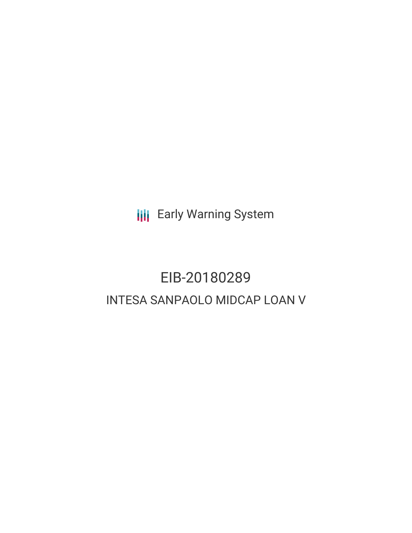**III** Early Warning System

# EIB-20180289 INTESA SANPAOLO MIDCAP LOAN V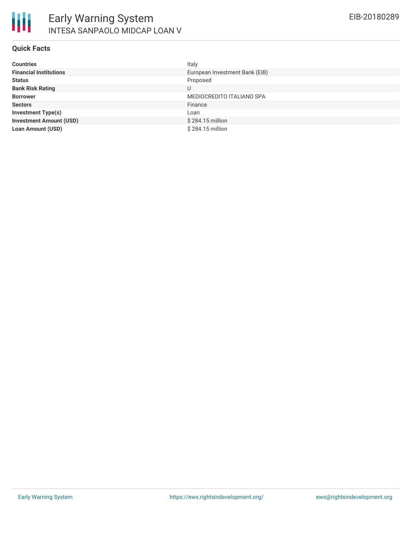# **Quick Facts**

| <b>Countries</b>               | Italy                          |
|--------------------------------|--------------------------------|
| <b>Financial Institutions</b>  | European Investment Bank (EIB) |
| <b>Status</b>                  | Proposed                       |
| <b>Bank Risk Rating</b>        | U                              |
| <b>Borrower</b>                | MEDIOCREDITO ITALIANO SPA      |
| <b>Sectors</b>                 | Finance                        |
| <b>Investment Type(s)</b>      | Loan                           |
| <b>Investment Amount (USD)</b> | \$284.15 million               |
| <b>Loan Amount (USD)</b>       | \$284.15 million               |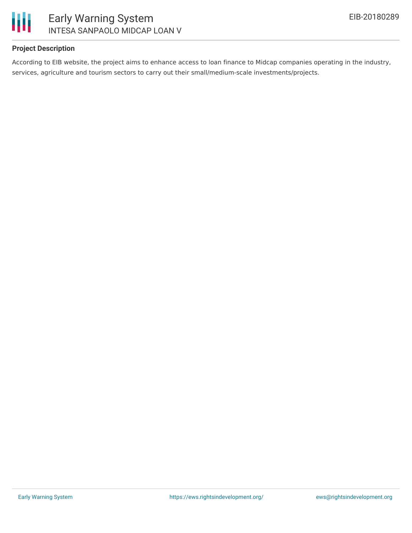

# Early Warning System INTESA SANPAOLO MIDCAP LOAN V

# **Project Description**

According to EIB website, the project aims to enhance access to loan finance to Midcap companies operating in the industry, services, agriculture and tourism sectors to carry out their small/medium-scale investments/projects.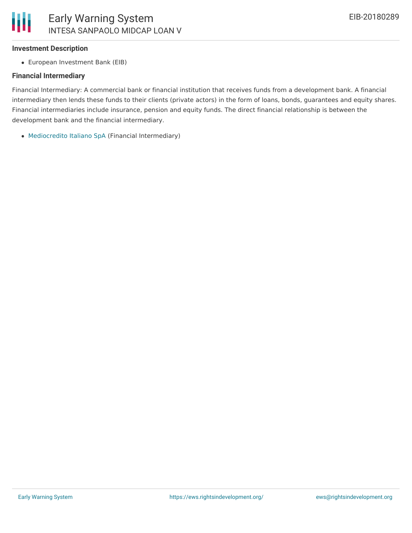#### **Investment Description**

European Investment Bank (EIB)

#### **Financial Intermediary**

Financial Intermediary: A commercial bank or financial institution that receives funds from a development bank. A financial intermediary then lends these funds to their clients (private actors) in the form of loans, bonds, guarantees and equity shares. Financial intermediaries include insurance, pension and equity funds. The direct financial relationship is between the development bank and the financial intermediary.

[Mediocredito](file:///actor/1863/) Italiano SpA (Financial Intermediary)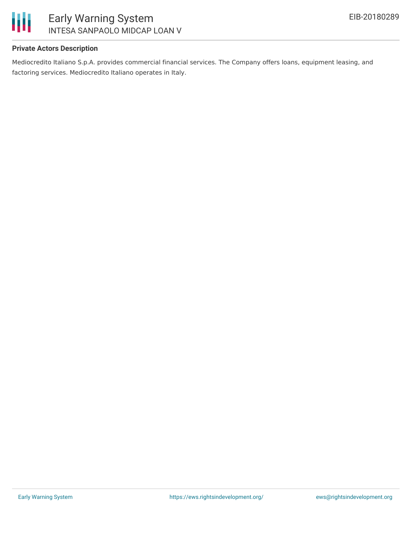

# **Private Actors Description**

Mediocredito Italiano S.p.A. provides commercial financial services. The Company offers loans, equipment leasing, and factoring services. Mediocredito Italiano operates in Italy.